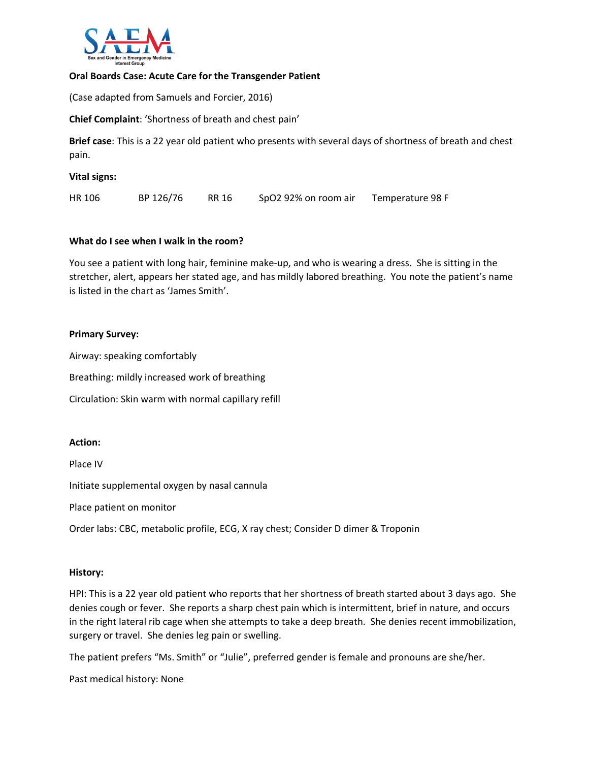

#### **Oral Boards Case: Acute Care for the Transgender Patient**

(Case adapted from Samuels and Forcier, 2016)

**Chief Complaint**: 'Shortness of breath and chest pain'

**Brief case**: This is a 22 year old patient who presents with several days of shortness of breath and chest pain.

**Vital signs:**

HR 106 BP 126/76 RR 16 SpO2 92% on room air Temperature 98 F

#### **What do I see when I walk in the room?**

You see a patient with long hair, feminine make-up, and who is wearing a dress. She is sitting in the stretcher, alert, appears her stated age, and has mildly labored breathing. You note the patient's name is listed in the chart as 'James Smith'.

#### **Primary Survey:**

Airway: speaking comfortably Breathing: mildly increased work of breathing

Circulation: Skin warm with normal capillary refill

#### **Action:**

Place IV

Initiate supplemental oxygen by nasal cannula

Place patient on monitor

Order labs: CBC, metabolic profile, ECG, X ray chest; Consider D dimer & Troponin

#### **History:**

HPI: This is a 22 year old patient who reports that her shortness of breath started about 3 days ago. She denies cough or fever. She reports a sharp chest pain which is intermittent, brief in nature, and occurs in the right lateral rib cage when she attempts to take a deep breath. She denies recent immobilization, surgery or travel. She denies leg pain or swelling.

The patient prefers "Ms. Smith" or "Julie", preferred gender is female and pronouns are she/her.

Past medical history: None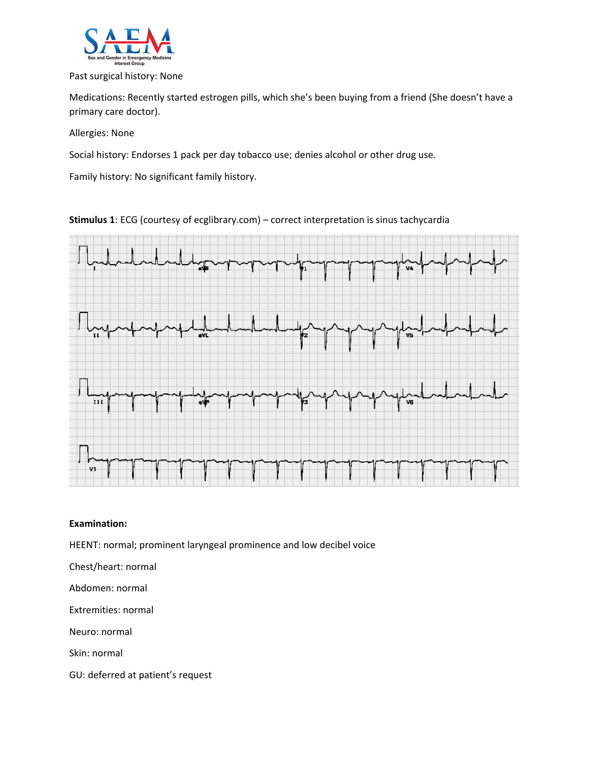

#### Past surgical history: None

Medications: Recently started estrogen pills, which she's been buying from a friend (She doesn't have a primary care doctor).

Allergies: None

Social history: Endorses 1 pack per day tobacco use; denies alcohol or other drug use.

Family history: No significant family history.

**Stimulus 1**: ECG (courtesy of ecglibrary.com) – correct interpretation is sinus tachycardia



#### **Examination:**

HEENT: normal; prominent laryngeal prominence and low decibel voice

Chest/heart: normal

Abdomen: normal

Extremities: normal

Neuro: normal

Skin: normal

GU: deferred at patient's request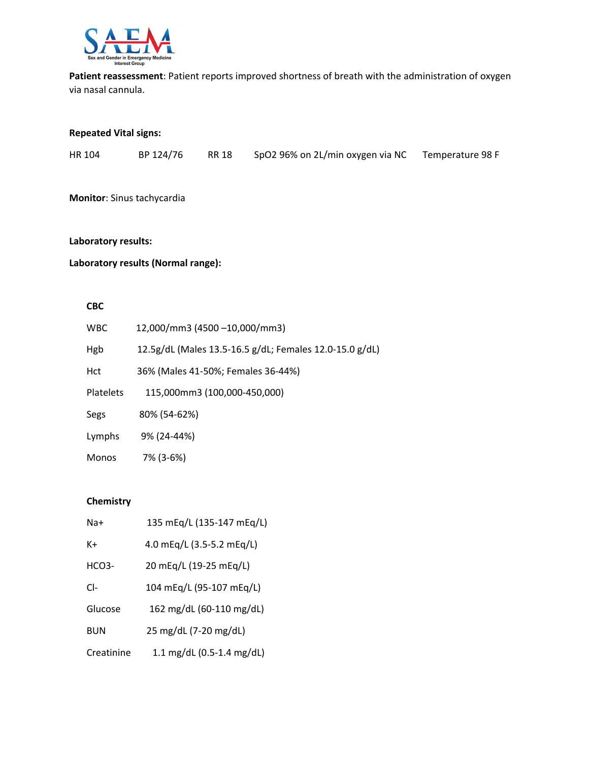

**Patient reassessment**: Patient reports improved shortness of breath with the administration of oxygen via nasal cannula.

### **Repeated Vital signs:**

|  | HR 104 | BP 124/76 | RR 18 | SpO2 96% on 2L/min oxygen via NC Temperature 98 F |  |
|--|--------|-----------|-------|---------------------------------------------------|--|
|--|--------|-----------|-------|---------------------------------------------------|--|

**Monitor**: Sinus tachycardia

### **Laboratory results:**

# **Laboratory results (Normal range):**

#### **CBC**

| <b>WBC</b>       | 12,000/mm3 (4500 -10,000/mm3)                           |
|------------------|---------------------------------------------------------|
| Hgb              | 12.5g/dL (Males 13.5-16.5 g/dL; Females 12.0-15.0 g/dL) |
| Hct              | 36% (Males 41-50%; Females 36-44%)                      |
| <b>Platelets</b> | 115,000mm3 (100,000-450,000)                            |
| Segs             | 80% (54-62%)                                            |
| Lymphs           | 9% (24-44%)                                             |
| <b>Monos</b>     | 7% (3-6%)                                               |

#### **Chemistry**

| Na+                | 135 mEq/L (135-147 mEq/L) |
|--------------------|---------------------------|
| K+                 | 4.0 mEq/L (3.5-5.2 mEq/L) |
| HCO <sub>3</sub> - | 20 mEq/L (19-25 mEq/L)    |
| $Cl-$              | 104 mEq/L (95-107 mEq/L)  |
| Glucose            | 162 mg/dL (60-110 mg/dL)  |
| <b>BUN</b>         | 25 mg/dL (7-20 mg/dL)     |
| Creatinine         | 1.1 mg/dL (0.5-1.4 mg/dL) |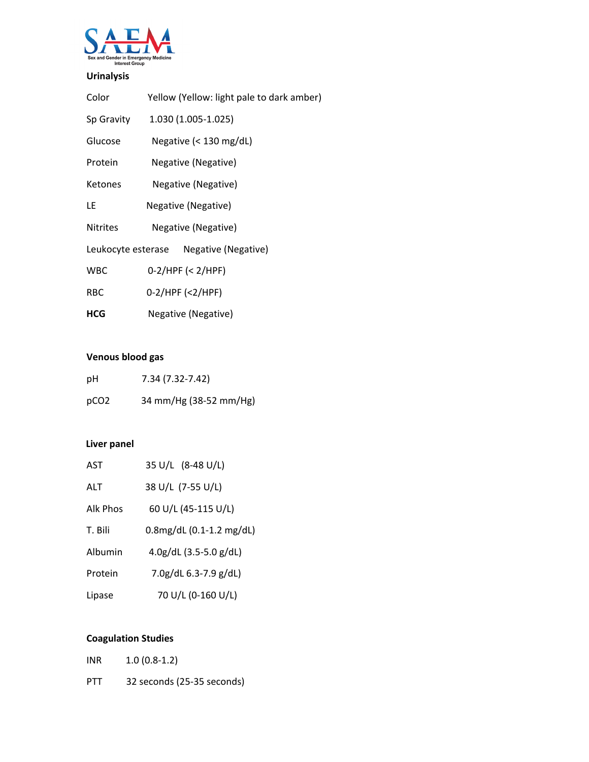

# **Urinalysis**

| Color           | Yellow (Yellow: light pale to dark amber) |
|-----------------|-------------------------------------------|
| Sp Gravity      | 1.030 (1.005-1.025)                       |
| Glucose         | Negative ( $<$ 130 mg/dL)                 |
| Protein         | Negative (Negative)                       |
| <b>Ketones</b>  | Negative (Negative)                       |
| LE              | Negative (Negative)                       |
| <b>Nitrites</b> | Negative (Negative)                       |
|                 | Leukocyte esterase Negative (Negative)    |
| <b>WBC</b>      | $0-2$ /HPF (< 2/HPF)                      |
| <b>RBC</b>      | $0-2/HPF (2/HPF)$                         |
| <b>HCG</b>      | Negative (Negative)                       |

# **Venous blood gas**

| рH               | 7.34 (7.32-7.42)       |
|------------------|------------------------|
| pCO <sub>2</sub> | 34 mm/Hg (38-52 mm/Hg) |

## **Liver panel**

| AST      | 35 U/L (8-48 U/L)               |
|----------|---------------------------------|
| ALT      | 38 U/L (7-55 U/L)               |
| Alk Phos | 60 U/L (45-115 U/L)             |
| T. Bili  | 0.8mg/dL (0.1-1.2 mg/dL)        |
| Albumin  | $4.0$ g/dL $(3.5-5.0)$ g/dL $)$ |
| Protein  | 7.0g/dL 6.3-7.9 g/dL)           |
| Lipase   | 70 U/L (0-160 U/L)              |

# **Coagulation Studies**

| INR | $1.0(0.8-1.2)$             |
|-----|----------------------------|
| PTT | 32 seconds (25-35 seconds) |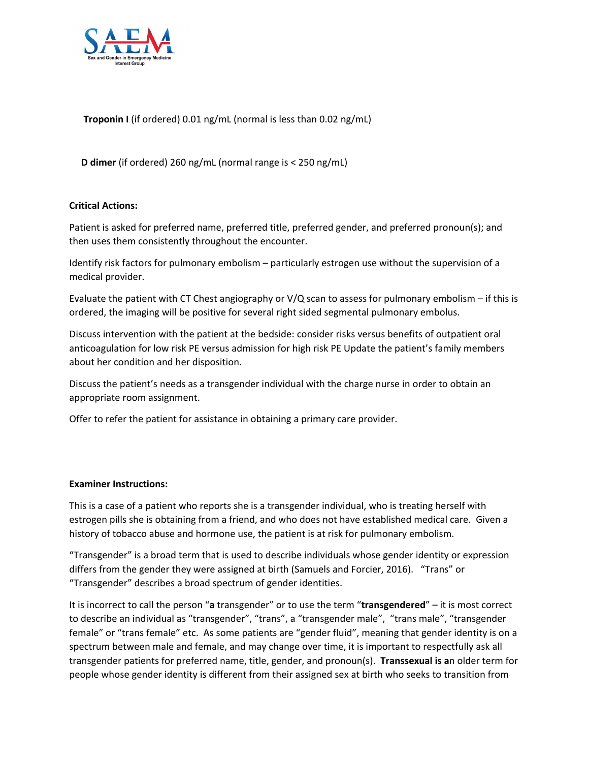

 **Troponin I** (if ordered) 0.01 ng/mL (normal is less than 0.02 ng/mL)

 **D dimer** (if ordered) 260 ng/mL (normal range is < 250 ng/mL)

### **Critical Actions:**

Patient is asked for preferred name, preferred title, preferred gender, and preferred pronoun(s); and then uses them consistently throughout the encounter.

Identify risk factors for pulmonary embolism – particularly estrogen use without the supervision of a medical provider.

Evaluate the patient with CT Chest angiography or V/Q scan to assess for pulmonary embolism – if this is ordered, the imaging will be positive for several right sided segmental pulmonary embolus.

Discuss intervention with the patient at the bedside: consider risks versus benefits of outpatient oral anticoagulation for low risk PE versus admission for high risk PE Update the patient's family members about her condition and her disposition.

Discuss the patient's needs as a transgender individual with the charge nurse in order to obtain an appropriate room assignment.

Offer to refer the patient for assistance in obtaining a primary care provider.

### **Examiner Instructions:**

This is a case of a patient who reports she is a transgender individual, who is treating herself with estrogen pills she is obtaining from a friend, and who does not have established medical care. Given a history of tobacco abuse and hormone use, the patient is at risk for pulmonary embolism.

"Transgender" is a broad term that is used to describe individuals whose gender identity or expression differs from the gender they were assigned at birth (Samuels and Forcier, 2016). "Trans" or "Transgender" describes a broad spectrum of gender identities.

It is incorrect to call the person "**a** transgender" or to use the term "**transgendered**" – it is most correct to describe an individual as "transgender", "trans", a "transgender male", "trans male", "transgender female" or "trans female" etc. As some patients are "gender fluid", meaning that gender identity is on a spectrum between male and female, and may change over time, it is important to respectfully ask all transgender patients for preferred name, title, gender, and pronoun(s). **Transsexual is a**n older term for people whose gender identity is different from their assigned sex at birth who seeks to transition from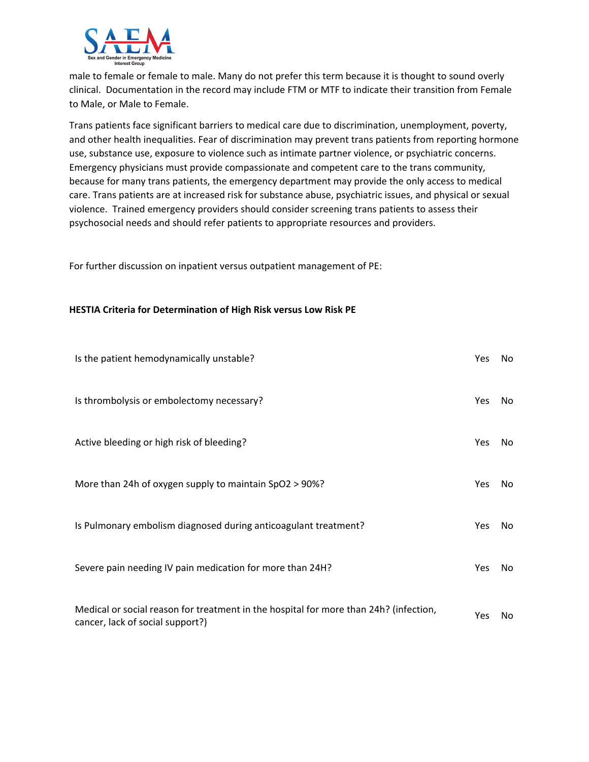

male to female or female to male. Many do not prefer this term because it is thought to sound overly clinical. Documentation in the record may include FTM or MTF to indicate their transition from Female to Male, or Male to Female.

Trans patients face significant barriers to medical care due to discrimination, unemployment, poverty, and other health inequalities. Fear of discrimination may prevent trans patients from reporting hormone use, substance use, exposure to violence such as intimate partner violence, or psychiatric concerns. Emergency physicians must provide compassionate and competent care to the trans community, because for many trans patients, the emergency department may provide the only access to medical care. Trans patients are at increased risk for substance abuse, psychiatric issues, and physical or sexual violence. Trained emergency providers should consider screening trans patients to assess their psychosocial needs and should refer patients to appropriate resources and providers.

For further discussion on inpatient versus outpatient management of PE:

#### **HESTIA Criteria for Determination of High Risk versus Low Risk PE**

| Is the patient hemodynamically unstable?                                                                                  | Yes        | No. |
|---------------------------------------------------------------------------------------------------------------------------|------------|-----|
| Is thrombolysis or embolectomy necessary?                                                                                 | <b>Yes</b> | No. |
| Active bleeding or high risk of bleeding?                                                                                 | <b>Yes</b> | No. |
| More than 24h of oxygen supply to maintain SpO2 > 90%?                                                                    | <b>Yes</b> | No. |
| Is Pulmonary embolism diagnosed during anticoagulant treatment?                                                           | <b>Yes</b> | No. |
| Severe pain needing IV pain medication for more than 24H?                                                                 | <b>Yes</b> | No. |
| Medical or social reason for treatment in the hospital for more than 24h? (infection,<br>cancer, lack of social support?) | <b>Yes</b> | No. |